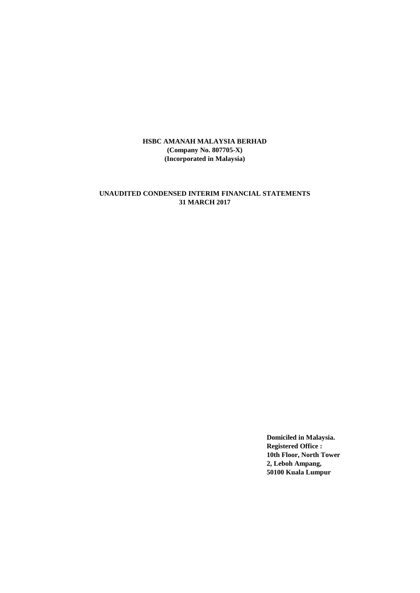# **UNAUDITED CONDENSED INTERIM FINANCIAL STATEMENTS 31 MARCH 2017**

**Domiciled in Malaysia. Registered Office : 10th Floor, North Tower 2, Leboh Ampang, 50100 Kuala Lumpur**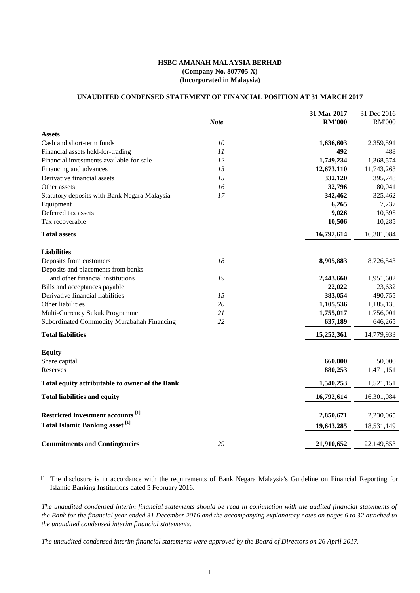## **UNAUDITED CONDENSED STATEMENT OF FINANCIAL POSITION AT 31 MARCH 2017**

|                                                | <b>Note</b> | 31 Mar 2017<br><b>RM'000</b> | 31 Dec 2016<br><b>RM'000</b> |
|------------------------------------------------|-------------|------------------------------|------------------------------|
| <b>Assets</b>                                  |             |                              |                              |
| Cash and short-term funds                      | 10          | 1,636,603                    | 2,359,591                    |
| Financial assets held-for-trading              | 11          | 492                          | 488                          |
| Financial investments available-for-sale       | 12          | 1,749,234                    | 1,368,574                    |
| Financing and advances                         | 13          | 12,673,110                   | 11,743,263                   |
| Derivative financial assets                    | 15          | 332,120                      | 395,748                      |
| Other assets                                   | 16          | 32,796                       | 80,041                       |
| Statutory deposits with Bank Negara Malaysia   | 17          | 342,462                      | 325,462                      |
| Equipment                                      |             | 6,265                        | 7,237                        |
| Deferred tax assets                            |             | 9,026                        | 10,395                       |
| Tax recoverable                                |             | 10,506                       | 10,285                       |
| <b>Total assets</b>                            |             | 16,792,614                   | 16,301,084                   |
| <b>Liabilities</b>                             |             |                              |                              |
| Deposits from customers                        | 18          | 8,905,883                    | 8,726,543                    |
| Deposits and placements from banks             |             |                              |                              |
| and other financial institutions               | 19          | 2,443,660                    | 1,951,602                    |
| Bills and acceptances payable                  |             | 22,022                       | 23,632                       |
| Derivative financial liabilities               | 15          | 383,054                      | 490,755                      |
| Other liabilities                              | 20          | 1,105,536                    | 1,185,135                    |
| Multi-Currency Sukuk Programme                 | 21          | 1,755,017                    | 1,756,001                    |
| Subordinated Commodity Murabahah Financing     | 22          | 637,189                      | 646,265                      |
| <b>Total liabilities</b>                       |             | 15,252,361                   | 14,779,933                   |
| <b>Equity</b>                                  |             |                              |                              |
| Share capital                                  |             | 660,000                      | 50,000                       |
| Reserves                                       |             | 880,253                      | 1,471,151                    |
| Total equity attributable to owner of the Bank |             | 1,540,253                    | 1,521,151                    |
| <b>Total liabilities and equity</b>            |             | 16,792,614                   | 16,301,084                   |
| Restricted investment accounts <sup>[1]</sup>  |             | 2,850,671                    | 2,230,065                    |
| Total Islamic Banking asset <sup>[1]</sup>     |             |                              |                              |
|                                                |             | 19,643,285                   | 18,531,149                   |
| <b>Commitments and Contingencies</b>           | 29          | 21,910,652                   | 22,149,853                   |

[1] The disclosure is in accordance with the requirements of Bank Negara Malaysia's Guideline on Financial Reporting for Islamic Banking Institutions dated 5 February 2016.

*The unaudited condensed interim financial statements should be read in conjunction with the audited financial statements of the Bank for the financial year ended 31 December 2016 and the accompanying explanatory notes on pages 6 to 32 attached to the unaudited condensed interim financial statements.*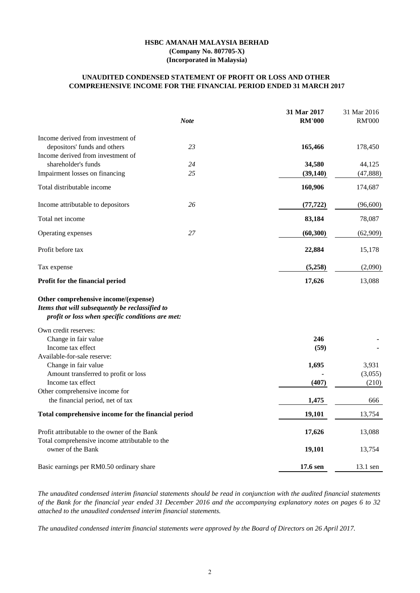## **COMPREHENSIVE INCOME FOR THE FINANCIAL PERIOD ENDED 31 MARCH 2017 UNAUDITED CONDENSED STATEMENT OF PROFIT OR LOSS AND OTHER**

|                                                                                                                                             | <b>Note</b> | 31 Mar 2017<br><b>RM'000</b> | 31 Mar 2016<br><b>RM'000</b> |
|---------------------------------------------------------------------------------------------------------------------------------------------|-------------|------------------------------|------------------------------|
| Income derived from investment of                                                                                                           |             |                              |                              |
| depositors' funds and others                                                                                                                | 23          | 165,466                      | 178,450                      |
| Income derived from investment of                                                                                                           |             |                              |                              |
| shareholder's funds                                                                                                                         | 24          | 34,580                       | 44,125                       |
| Impairment losses on financing                                                                                                              | 25          | (39, 140)                    | (47, 888)                    |
| Total distributable income                                                                                                                  |             | 160,906                      | 174,687                      |
| Income attributable to depositors                                                                                                           | 26          | (77, 722)                    | (96,600)                     |
| Total net income                                                                                                                            |             | 83,184                       | 78,087                       |
| Operating expenses                                                                                                                          | 27          | (60, 300)                    | (62,909)                     |
| Profit before tax                                                                                                                           |             | 22,884                       | 15,178                       |
| Tax expense                                                                                                                                 |             | (5,258)                      | (2,090)                      |
| Profit for the financial period                                                                                                             |             | 17,626                       | 13,088                       |
| Other comprehensive income/(expense)<br>Items that will subsequently be reclassified to<br>profit or loss when specific conditions are met: |             |                              |                              |
| Own credit reserves:                                                                                                                        |             |                              |                              |
| Change in fair value                                                                                                                        |             | 246                          |                              |
| Income tax effect                                                                                                                           |             | (59)                         |                              |
| Available-for-sale reserve:                                                                                                                 |             |                              |                              |
| Change in fair value                                                                                                                        |             | 1,695                        | 3,931                        |
| Amount transferred to profit or loss                                                                                                        |             |                              | (3,055)                      |
| Income tax effect                                                                                                                           |             | (407)                        | (210)                        |
| Other comprehensive income for                                                                                                              |             |                              |                              |
| the financial period, net of tax                                                                                                            |             | 1,475                        | 666                          |
| Total comprehensive income for the financial period                                                                                         |             | 19,101                       | 13,754                       |
| Profit attributable to the owner of the Bank                                                                                                |             | 17,626                       | 13,088                       |
| Total comprehensive income attributable to the                                                                                              |             |                              |                              |
| owner of the Bank                                                                                                                           |             | 19,101                       | 13,754                       |
| Basic earnings per RM0.50 ordinary share                                                                                                    |             | 17.6 sen                     | $13.1$ sen                   |

*The unaudited condensed interim financial statements should be read in conjunction with the audited financial statements of the Bank for the financial year ended 31 December 2016 and the accompanying explanatory notes on pages 6 to 32 attached to the unaudited condensed interim financial statements.*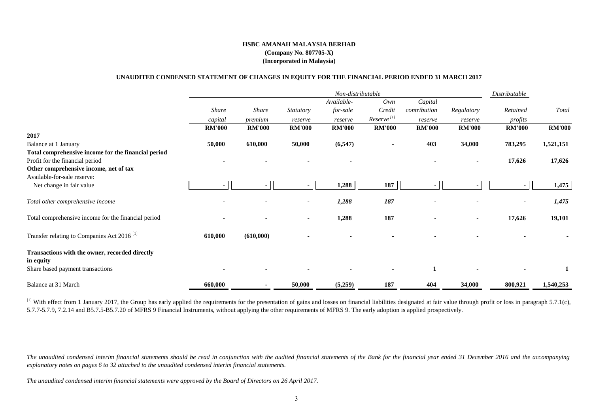#### **UNAUDITED CONDENSED STATEMENT OF CHANGES IN EQUITY FOR THE FINANCIAL PERIOD ENDED 31 MARCH 2017**

|                                                        |               |               |                  | Non-distributable |                        |               |               | Distributable |               |
|--------------------------------------------------------|---------------|---------------|------------------|-------------------|------------------------|---------------|---------------|---------------|---------------|
|                                                        |               |               |                  | Available-        | Own                    | Capital       |               |               |               |
|                                                        | <b>Share</b>  | <b>Share</b>  | <b>Statutory</b> | for-sale          | Credit                 | contribution  | Regulatory    | Retained      | Total         |
|                                                        | capital       | premium       | reserve          | reserve           | Reserve <sup>[1]</sup> | reserve       | reserve       | profits       |               |
|                                                        | <b>RM'000</b> | <b>RM'000</b> | <b>RM'000</b>    | <b>RM'000</b>     | <b>RM'000</b>          | <b>RM'000</b> | <b>RM'000</b> | <b>RM'000</b> | <b>RM'000</b> |
| 2017                                                   |               |               |                  |                   |                        |               |               |               |               |
| Balance at 1 January                                   | 50,000        | 610,000       | 50,000           | (6, 547)          |                        | 403           | 34,000        | 783,295       | 1,521,151     |
| Total comprehensive income for the financial period    |               |               |                  |                   |                        |               |               |               |               |
| Profit for the financial period                        |               |               |                  | $\blacksquare$    |                        |               |               | 17,626        | 17,626        |
| Other comprehensive income, net of tax                 |               |               |                  |                   |                        |               |               |               |               |
| Available-for-sale reserve:                            |               |               |                  |                   |                        |               |               |               |               |
| Net change in fair value                               |               |               |                  | 1,288             | 187                    |               |               |               | 1,475         |
| Total other comprehensive income                       |               |               |                  | 1,288             | 187                    |               |               |               | 1,475         |
| Total comprehensive income for the financial period    |               |               | $\sim$           | 1,288             | 187                    |               |               | 17,626        | 19,101        |
| Transfer relating to Companies Act 2016 <sup>[1]</sup> | 610,000       | (610,000)     |                  |                   |                        |               |               |               |               |
| Transactions with the owner, recorded directly         |               |               |                  |                   |                        |               |               |               |               |
| in equity                                              |               |               |                  |                   |                        |               |               |               |               |
| Share based payment transactions                       |               |               |                  | ٠                 |                        |               |               |               |               |
| Balance at 31 March                                    | 660,000       |               | 50,000           | (5,259)           | 187                    | 404           | 34,000        | 800,921       | 1,540,253     |

<sup>[1]</sup> With effect from 1 January 2017, the Group has early applied the requirements for the presentation of gains and losses on financial liabilities designated at fair value through profit or loss in paragraph 5.7.1(c), 5.7.7-5.7.9, 7.2.14 and B5.7.5-B5.7.20 of MFRS 9 Financial Instruments, without applying the other requirements of MFRS 9. The early adoption is applied prospectively.

*The unaudited condensed interim financial statements should be read in conjunction with the audited financial statements of the Bank for the financial year ended 31 December 2016 and the accompanying explanatory notes on pages 6 to 32 attached to the unaudited condensed interim financial statements.*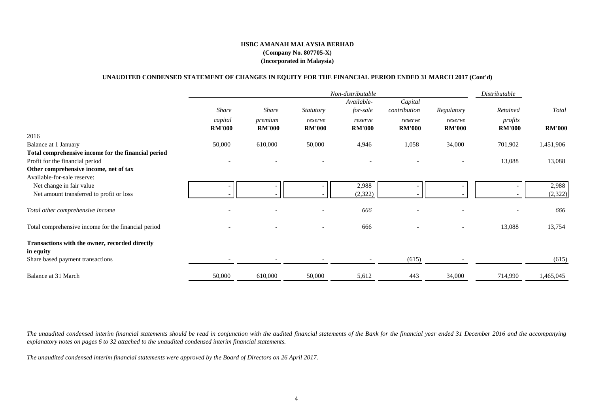#### **UNAUDITED CONDENSED STATEMENT OF CHANGES IN EQUITY FOR THE FINANCIAL PERIOD ENDED 31 MARCH 2017 (Cont'd)**

|                                                             |               |                          |                          | Non-distributable        |               |                          | Distributable |               |
|-------------------------------------------------------------|---------------|--------------------------|--------------------------|--------------------------|---------------|--------------------------|---------------|---------------|
|                                                             |               |                          |                          | Available-               | Capital       |                          |               |               |
|                                                             | Share         | <b>Share</b>             | Statutory                | for-sale                 | contribution  | Regulatory               | Retained      | Total         |
|                                                             | capital       | premium                  | reserve                  | reserve                  | reserve       | reserve                  | profits       |               |
|                                                             | <b>RM'000</b> | <b>RM'000</b>            | <b>RM'000</b>            | <b>RM'000</b>            | <b>RM'000</b> | <b>RM'000</b>            | <b>RM'000</b> | <b>RM'000</b> |
| 2016                                                        |               |                          |                          |                          |               |                          |               |               |
| Balance at 1 January                                        | 50,000        | 610,000                  | 50,000                   | 4,946                    | 1,058         | 34,000                   | 701,902       | 1,451,906     |
| Total comprehensive income for the financial period         |               |                          |                          |                          |               |                          |               |               |
| Profit for the financial period                             |               |                          |                          |                          |               |                          | 13,088        | 13,088        |
| Other comprehensive income, net of tax                      |               |                          |                          |                          |               |                          |               |               |
| Available-for-sale reserve:                                 |               |                          |                          |                          |               |                          |               |               |
| Net change in fair value                                    |               | $\overline{\phantom{a}}$ |                          | 2,988                    |               |                          |               | 2,988         |
| Net amount transferred to profit or loss                    |               | $\overline{\phantom{a}}$ |                          | (2,322)                  |               |                          |               | (2,322)       |
| Total other comprehensive income                            |               |                          |                          | 666                      |               |                          |               | 666           |
| Total comprehensive income for the financial period         |               |                          | $\overline{\phantom{0}}$ | 666                      |               | $\overline{\phantom{a}}$ | 13,088        | 13,754        |
| Transactions with the owner, recorded directly<br>in equity |               |                          |                          |                          |               |                          |               |               |
| Share based payment transactions                            |               |                          |                          | $\overline{\phantom{a}}$ | (615)         |                          |               | (615)         |
| Balance at 31 March                                         | 50,000        | 610,000                  | 50,000                   | 5,612                    | 443           | 34,000                   | 714,990       | 1,465,045     |

*The unaudited condensed interim financial statements should be read in conjunction with the audited financial statements of the Bank for the financial year ended 31 December 2016 and the accompanying explanatory notes on pages 6 to 32 attached to the unaudited condensed interim financial statements.*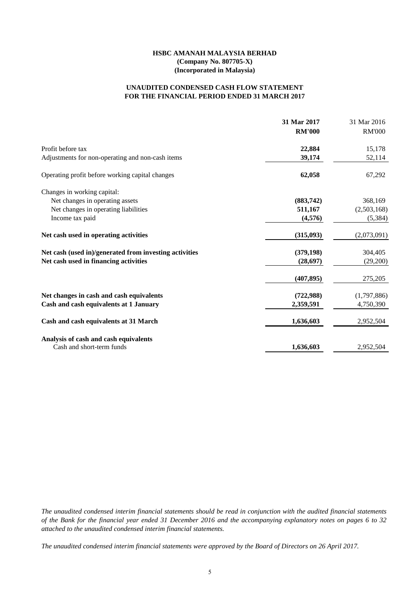## **FOR THE FINANCIAL PERIOD ENDED 31 MARCH 2017 UNAUDITED CONDENSED CASH FLOW STATEMENT**

| <b>RM'000</b><br>22,884 | <b>RM'000</b><br>15,178                          |
|-------------------------|--------------------------------------------------|
|                         |                                                  |
|                         |                                                  |
| 39,174                  | 52,114                                           |
| 62,058                  | 67,292                                           |
|                         |                                                  |
| (883,742)               | 368,169                                          |
| 511,167                 | (2,503,168)                                      |
| (4,576)                 | (5, 384)                                         |
| (315,093)               | (2,073,091)                                      |
| (379, 198)              | 304,405                                          |
| (28, 697)               | (29,200)                                         |
| (407, 895)              | 275,205                                          |
|                         | (1,797,886)                                      |
|                         | 4,750,390                                        |
|                         | 2,952,504                                        |
|                         | 2,952,504                                        |
|                         | (722,988)<br>2,359,591<br>1,636,603<br>1,636,603 |

*The unaudited condensed interim financial statements should be read in conjunction with the audited financial statements of the Bank for the financial year ended 31 December 2016 and the accompanying explanatory notes on pages 6 to 32 attached to the unaudited condensed interim financial statements.*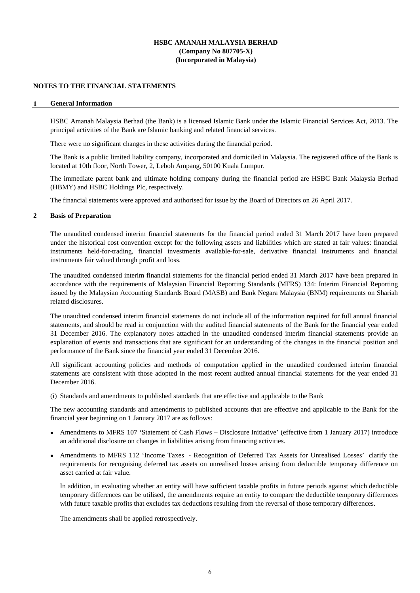### **NOTES TO THE FINANCIAL STATEMENTS**

#### **1 General Information**

HSBC Amanah Malaysia Berhad (the Bank) is a licensed Islamic Bank under the Islamic Financial Services Act, 2013. The principal activities of the Bank are Islamic banking and related financial services.

There were no significant changes in these activities during the financial period.

The Bank is a public limited liability company, incorporated and domiciled in Malaysia. The registered office of the Bank is located at 10th floor, North Tower, 2, Leboh Ampang, 50100 Kuala Lumpur.

The immediate parent bank and ultimate holding company during the financial period are HSBC Bank Malaysia Berhad (HBMY) and HSBC Holdings Plc, respectively.

The financial statements were approved and authorised for issue by the Board of Directors on 26 April 2017.

### **2 Basis of Preparation**

The unaudited condensed interim financial statements for the financial period ended 31 March 2017 have been prepared under the historical cost convention except for the following assets and liabilities which are stated at fair values: financial instruments held-for-trading, financial investments available-for-sale, derivative financial instruments and financial instruments fair valued through profit and loss.

The unaudited condensed interim financial statements for the financial period ended 31 March 2017 have been prepared in accordance with the requirements of Malaysian Financial Reporting Standards (MFRS) 134: Interim Financial Reporting issued by the Malaysian Accounting Standards Board (MASB) and Bank Negara Malaysia (BNM) requirements on Shariah related disclosures.

The unaudited condensed interim financial statements do not include all of the information required for full annual financial statements, and should be read in conjunction with the audited financial statements of the Bank for the financial year ended 31 December 2016. The explanatory notes attached in the unaudited condensed interim financial statements provide an explanation of events and transactions that are significant for an understanding of the changes in the financial position and performance of the Bank since the financial year ended 31 December 2016.

All significant accounting policies and methods of computation applied in the unaudited condensed interim financial statements are consistent with those adopted in the most recent audited annual financial statements for the year ended 31 December 2016.

## (i) Standards and amendments to published standards that are effective and applicable to the Bank

The new accounting standards and amendments to published accounts that are effective and applicable to the Bank for the financial year beginning on 1 January 2017 are as follows:

- Amendments to MFRS 107 'Statement of Cash Flows Disclosure Initiative' (effective from 1 January 2017) introduce an additional disclosure on changes in liabilities arising from financing activities.
- Amendments to MFRS 112 'Income Taxes Recognition of Deferred Tax Assets for Unrealised Losses' clarify the requirements for recognising deferred tax assets on unrealised losses arising from deductible temporary difference on asset carried at fair value.

In addition, in evaluating whether an entity will have sufficient taxable profits in future periods against which deductible temporary differences can be utilised, the amendments require an entity to compare the deductible temporary differences with future taxable profits that excludes tax deductions resulting from the reversal of those temporary differences.

The amendments shall be applied retrospectively.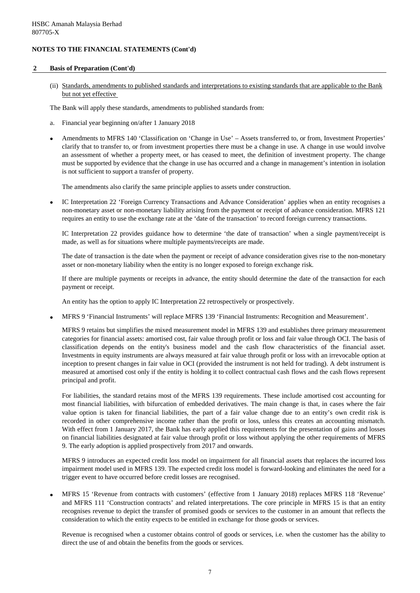## **2 Basis of Preparation (Cont'd)**

(ii) Standards, amendments to published standards and interpretations to existing standards that are applicable to the Bank but not yet effective

The Bank will apply these standards, amendments to published standards from:

- a. Financial year beginning on/after 1 January 2018
- Amendments to MFRS 140 'Classification on 'Change in Use' – Assets transferred to, or from, Investment Properties' clarify that to transfer to, or from investment properties there must be a change in use. A change in use would involve an assessment of whether a property meet, or has ceased to meet, the definition of investment property. The change must be supported by evidence that the change in use has occurred and a change in management's intention in isolation is not sufficient to support a transfer of property.

The amendments also clarify the same principle applies to assets under construction.

• IC Interpretation 22 'Foreign Currency Transactions and Advance Consideration' applies when an entity recognises a non-monetary asset or non-monetary liability arising from the payment or receipt of advance consideration. MFRS 121 requires an entity to use the exchange rate at the 'date of the transaction' to record foreign currency transactions.

IC Interpretation 22 provides guidance how to determine 'the date of transaction' when a single payment/receipt is made, as well as for situations where multiple payments/receipts are made.

The date of transaction is the date when the payment or receipt of advance consideration gives rise to the non-monetary asset or non-monetary liability when the entity is no longer exposed to foreign exchange risk.

If there are multiple payments or receipts in advance, the entity should determine the date of the transaction for each payment or receipt.

An entity has the option to apply IC Interpretation 22 retrospectively or prospectively.

• MFRS 9 'Financial Instruments' will replace MFRS 139 'Financial Instruments: Recognition and Measurement'.

MFRS 9 retains but simplifies the mixed measurement model in MFRS 139 and establishes three primary measurement categories for financial assets: amortised cost, fair value through profit or loss and fair value through OCI. The basis of classification depends on the entity's business model and the cash flow characteristics of the financial asset. Investments in equity instruments are always measured at fair value through profit or loss with an irrevocable option at inception to present changes in fair value in OCI (provided the instrument is not held for trading). A debt instrument is measured at amortised cost only if the entity is holding it to collect contractual cash flows and the cash flows represent principal and profit.

For liabilities, the standard retains most of the MFRS 139 requirements. These include amortised cost accounting for most financial liabilities, with bifurcation of embedded derivatives. The main change is that, in cases where the fair value option is taken for financial liabilities, the part of a fair value change due to an entity's own credit risk is recorded in other comprehensive income rather than the profit or loss, unless this creates an accounting mismatch. With effect from 1 January 2017, the Bank has early applied this requirements for the presentation of gains and losses on financial liabilities designated at fair value through profit or loss without applying the other requirements of MFRS 9. The early adoption is applied prospectively from 2017 and onwards.

MFRS 9 introduces an expected credit loss model on impairment for all financial assets that replaces the incurred loss impairment model used in MFRS 139. The expected credit loss model is forward-looking and eliminates the need for a trigger event to have occurred before credit losses are recognised.

• MFRS 15 'Revenue from contracts with customers' (effective from 1 January 2018) replaces MFRS 118 'Revenue' and MFRS 111 'Construction contracts' and related interpretations. The core principle in MFRS 15 is that an entity recognises revenue to depict the transfer of promised goods or services to the customer in an amount that reflects the consideration to which the entity expects to be entitled in exchange for those goods or services.

Revenue is recognised when a customer obtains control of goods or services, i.e. when the customer has the ability to direct the use of and obtain the benefits from the goods or services.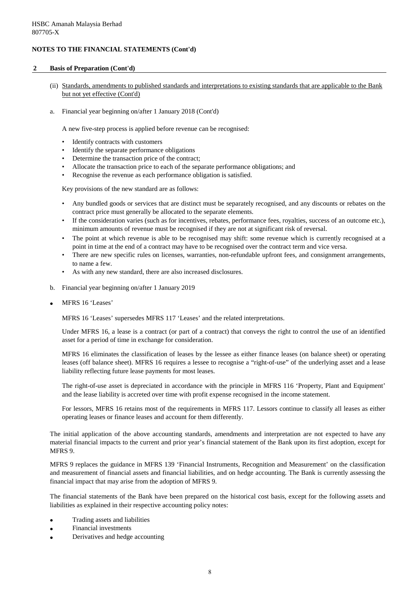## **2 Basis of Preparation (Cont'd)**

- (ii) Standards, amendments to published standards and interpretations to existing standards that are applicable to the Bank but not yet effective (Cont'd)
- a. Financial year beginning on/after 1 January 2018 (Cont'd)

A new five-step process is applied before revenue can be recognised:

- Identify contracts with customers
- Identify the separate performance obligations
- Determine the transaction price of the contract;
- Allocate the transaction price to each of the separate performance obligations; and
- Recognise the revenue as each performance obligation is satisfied.

Key provisions of the new standard are as follows:

- Any bundled goods or services that are distinct must be separately recognised, and any discounts or rebates on the contract price must generally be allocated to the separate elements.
- If the consideration varies (such as for incentives, rebates, performance fees, royalties, success of an outcome etc.), minimum amounts of revenue must be recognised if they are not at significant risk of reversal.
- The point at which revenue is able to be recognised may shift: some revenue which is currently recognised at a point in time at the end of a contract may have to be recognised over the contract term and vice versa.
- There are new specific rules on licenses, warranties, non-refundable upfront fees, and consignment arrangements, to name a few.
- As with any new standard, there are also increased disclosures.
- b. Financial year beginning on/after 1 January 2019
- MFRS 16 'Leases'

MFRS 16 'Leases' supersedes MFRS 117 'Leases' and the related interpretations.

Under MFRS 16, a lease is a contract (or part of a contract) that conveys the right to control the use of an identified asset for a period of time in exchange for consideration.

MFRS 16 eliminates the classification of leases by the lessee as either finance leases (on balance sheet) or operating leases (off balance sheet). MFRS 16 requires a lessee to recognise a "right-of-use" of the underlying asset and a lease liability reflecting future lease payments for most leases.

The right-of-use asset is depreciated in accordance with the principle in MFRS 116 'Property, Plant and Equipment' and the lease liability is accreted over time with profit expense recognised in the income statement.

For lessors, MFRS 16 retains most of the requirements in MFRS 117. Lessors continue to classify all leases as either operating leases or finance leases and account for them differently.

The initial application of the above accounting standards, amendments and interpretation are not expected to have any material financial impacts to the current and prior year's financial statement of the Bank upon its first adoption, except for MFRS 9.

MFRS 9 replaces the guidance in MFRS 139 'Financial Instruments, Recognition and Measurement' on the classification and measurement of financial assets and financial liabilities, and on hedge accounting. The Bank is currently assessing the financial impact that may arise from the adoption of MFRS 9.

The financial statements of the Bank have been prepared on the historical cost basis, except for the following assets and liabilities as explained in their respective accounting policy notes:

- Trading assets and liabilities
- Financial investments
- Derivatives and hedge accounting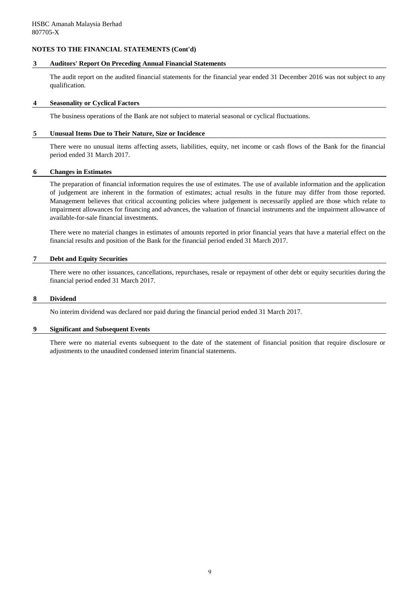#### **3 Auditors' Report On Preceding Annual Financial Statements**

The audit report on the audited financial statements for the financial year ended 31 December 2016 was not subject to any qualification.

#### **4 Seasonality or Cyclical Factors**

The business operations of the Bank are not subject to material seasonal or cyclical fluctuations.

#### **5 Unusual Items Due to Their Nature, Size or Incidence**

There were no unusual items affecting assets, liabilities, equity, net income or cash flows of the Bank for the financial period ended 31 March 2017.

#### **6 Changes in Estimates**

The preparation of financial information requires the use of estimates. The use of available information and the application of judgement are inherent in the formation of estimates; actual results in the future may differ from those reported. Management believes that critical accounting policies where judgement is necessarily applied are those which relate to impairment allowances for financing and advances, the valuation of financial instruments and the impairment allowance of available-for-sale financial investments.

There were no material changes in estimates of amounts reported in prior financial years that have a material effect on the financial results and position of the Bank for the financial period ended 31 March 2017.

## **7 Debt and Equity Securities**

There were no other issuances, cancellations, repurchases, resale or repayment of other debt or equity securities during the financial period ended 31 March 2017.

#### **8 Dividend**

No interim dividend was declared nor paid during the financial period ended 31 March 2017.

#### **9 Significant and Subsequent Events**

There were no material events subsequent to the date of the statement of financial position that require disclosure or adjustments to the unaudited condensed interim financial statements.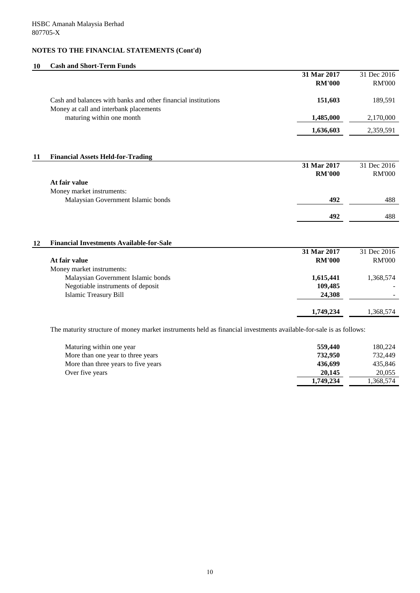# **10 Cash and Short-Term Funds**

|    |                                                                                                                    | 31 Mar 2017   | 31 Dec 2016   |
|----|--------------------------------------------------------------------------------------------------------------------|---------------|---------------|
|    |                                                                                                                    | <b>RM'000</b> | <b>RM'000</b> |
|    | Cash and balances with banks and other financial institutions<br>Money at call and interbank placements            | 151,603       | 189,591       |
|    | maturing within one month                                                                                          | 1,485,000     | 2,170,000     |
|    |                                                                                                                    | 1,636,603     | 2,359,591     |
| 11 | <b>Financial Assets Held-for-Trading</b>                                                                           |               |               |
|    |                                                                                                                    | 31 Mar 2017   | 31 Dec 2016   |
|    |                                                                                                                    | <b>RM'000</b> | <b>RM'000</b> |
|    | At fair value                                                                                                      |               |               |
|    | Money market instruments:                                                                                          |               |               |
|    | Malaysian Government Islamic bonds                                                                                 | 492           | 488           |
|    |                                                                                                                    | 492           | 488           |
| 12 | <b>Financial Investments Available-for-Sale</b>                                                                    |               |               |
|    |                                                                                                                    | 31 Mar 2017   | 31 Dec 2016   |
|    | At fair value                                                                                                      | <b>RM'000</b> | <b>RM'000</b> |
|    | Money market instruments:                                                                                          |               |               |
|    | Malaysian Government Islamic bonds                                                                                 | 1,615,441     | 1,368,574     |
|    | Negotiable instruments of deposit                                                                                  | 109,485       |               |
|    | <b>Islamic Treasury Bill</b>                                                                                       | 24,308        |               |
|    |                                                                                                                    | 1,749,234     | 1,368,574     |
|    | The maturity structure of money market instruments held as financial investments available-for-sale is as follows: |               |               |

| Maturing within one year            | 559,440   | 180,224   |
|-------------------------------------|-----------|-----------|
| More than one year to three years   | 732,950   | 732,449   |
| More than three years to five years | 436.699   | 435,846   |
| Over five years                     | 20,145    | 20,055    |
|                                     | 1,749,234 | 1,368,574 |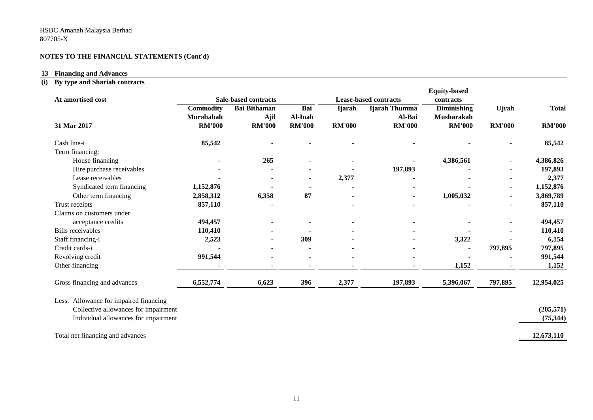# **13 Financing and Advances**

# **(i) By type and Shariah contracts**

|                  |                                                                                           |                                     |               |               | <b>Equity-based</b>                    |                         |               |
|------------------|-------------------------------------------------------------------------------------------|-------------------------------------|---------------|---------------|----------------------------------------|-------------------------|---------------|
| <b>Commodity</b> | <b>Bai Bithaman</b>                                                                       | Bai                                 | <b>Ijarah</b> | Ijarah Thumma | Diminishing                            | <b>U</b> jrah           | <b>Total</b>  |
| <b>RM'000</b>    | <b>RM'000</b>                                                                             | <b>RM'000</b>                       | <b>RM'000</b> | <b>RM'000</b> | <b>RM'000</b>                          | <b>RM'000</b>           | <b>RM'000</b> |
| 85,542           |                                                                                           |                                     |               |               |                                        |                         | 85,542        |
|                  |                                                                                           |                                     |               |               |                                        |                         |               |
|                  | 265                                                                                       |                                     |               |               | 4,386,561                              |                         | 4,386,826     |
|                  |                                                                                           |                                     |               | 197,893       |                                        |                         | 197,893       |
|                  |                                                                                           |                                     | 2,377         |               |                                        |                         | 2,377         |
| 1,152,876        |                                                                                           |                                     |               |               |                                        |                         | 1,152,876     |
| 2,858,312        | 6,358                                                                                     | 87                                  |               |               | 1,005,032                              |                         | 3,869,789     |
| 857,110          |                                                                                           |                                     |               |               |                                        |                         | 857,110       |
|                  |                                                                                           |                                     |               |               |                                        |                         |               |
| 494,457          |                                                                                           |                                     |               |               |                                        |                         | 494,457       |
| 110,410          |                                                                                           |                                     |               |               |                                        |                         | 110,410       |
| 2,523            |                                                                                           | 309                                 |               |               | 3,322                                  |                         | 6,154         |
|                  |                                                                                           |                                     |               |               |                                        | 797,895                 | 797,895       |
| 991,544          |                                                                                           |                                     |               |               |                                        |                         | 991,544       |
|                  |                                                                                           |                                     |               |               | 1,152                                  |                         | 1,152         |
| 6,552,774        | 6,623                                                                                     | 396                                 | 2,377         | 197,893       | 5,396,067                              | 797,895                 | 12,954,025    |
|                  |                                                                                           |                                     |               |               |                                        |                         |               |
|                  |                                                                                           |                                     |               |               |                                        |                         | (205, 571)    |
|                  |                                                                                           |                                     |               |               |                                        |                         | (75, 344)     |
|                  |                                                                                           |                                     |               |               |                                        |                         | 12,673,110    |
|                  | Murabahah<br>Collective allowances for impairment<br>Individual allowances for impairment | <b>Sale-based contracts</b><br>Ajil | Al-Inah       |               | <b>Lease-based contracts</b><br>Al-Bai | contracts<br>Musharakah |               |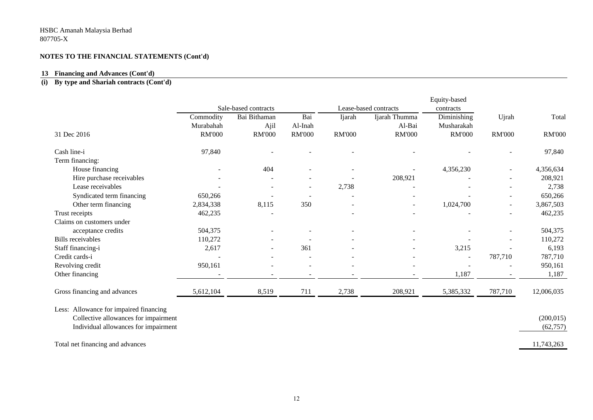#### **13 Financing and Advances (Cont'd)**

#### **(i) By type and Shariah contracts (Cont'd)**

|                                        |               |                      |               |               |                       | Equity-based  |                          |               |
|----------------------------------------|---------------|----------------------|---------------|---------------|-----------------------|---------------|--------------------------|---------------|
|                                        |               | Sale-based contracts |               |               | Lease-based contracts | contracts     |                          |               |
|                                        | Commodity     | Bai Bithaman         | Bai           | Ijarah        | Ijarah Thumma         | Diminishing   | Ujrah                    | Total         |
|                                        | Murabahah     | Ajil                 | Al-Inah       |               | Al-Bai                | Musharakah    |                          |               |
| 31 Dec 2016                            | <b>RM'000</b> | <b>RM'000</b>        | <b>RM'000</b> | <b>RM'000</b> | <b>RM'000</b>         | <b>RM'000</b> | <b>RM'000</b>            | <b>RM'000</b> |
| Cash line-i                            | 97,840        |                      |               |               |                       |               |                          | 97,840        |
| Term financing:                        |               |                      |               |               |                       |               |                          |               |
| House financing                        |               | 404                  |               |               |                       | 4,356,230     |                          | 4,356,634     |
| Hire purchase receivables              |               |                      |               |               | 208,921               |               |                          | 208,921       |
| Lease receivables                      |               |                      |               | 2,738         |                       |               |                          | 2,738         |
| Syndicated term financing              | 650,266       |                      |               |               |                       |               |                          | 650,266       |
| Other term financing                   | 2,834,338     | 8,115                | 350           |               | $\overline{a}$        | 1,024,700     | $\overline{\phantom{a}}$ | 3,867,503     |
| Trust receipts                         | 462,235       |                      |               |               |                       |               |                          | 462,235       |
| Claims on customers under              |               |                      |               |               |                       |               |                          |               |
| acceptance credits                     | 504,375       |                      |               |               |                       |               |                          | 504,375       |
| <b>Bills</b> receivables               | 110,272       |                      |               |               |                       |               |                          | 110,272       |
| Staff financing-i                      | 2,617         |                      | 361           |               |                       | 3,215         |                          | 6,193         |
| Credit cards-i                         |               |                      |               |               |                       |               | 787,710                  | 787,710       |
| Revolving credit                       | 950,161       |                      |               |               |                       |               |                          | 950,161       |
| Other financing                        |               |                      |               |               |                       | 1,187         |                          | 1,187         |
| Gross financing and advances           | 5,612,104     | 8,519                | 711           | 2,738         | 208,921               | 5,385,332     | 787,710                  | 12,006,035    |
| Less: Allowance for impaired financing |               |                      |               |               |                       |               |                          |               |
| Collective allowances for impairment   |               |                      |               |               |                       |               |                          | (200, 015)    |
| Individual allowances for impairment   |               |                      |               |               |                       |               |                          | (62, 757)     |
|                                        |               |                      |               |               |                       |               |                          |               |
| Total net financing and advances       |               |                      |               |               |                       |               |                          | 11,743,263    |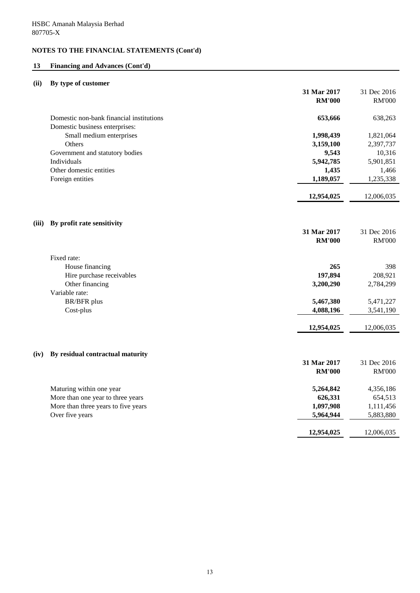# **13 Financing and Advances (Cont'd)**

# **(ii) By type of customer**

|       |                                          | 31 Mar 2017   | 31 Dec 2016   |
|-------|------------------------------------------|---------------|---------------|
|       |                                          | <b>RM'000</b> | <b>RM'000</b> |
|       | Domestic non-bank financial institutions | 653,666       | 638,263       |
|       | Domestic business enterprises:           |               |               |
|       | Small medium enterprises                 | 1,998,439     | 1,821,064     |
|       | Others                                   | 3,159,100     | 2,397,737     |
|       | Government and statutory bodies          | 9,543         | 10,316        |
|       | Individuals                              | 5,942,785     | 5,901,851     |
|       | Other domestic entities                  | 1,435         | 1,466         |
|       | Foreign entities                         | 1,189,057     | 1,235,338     |
|       |                                          | 12,954,025    | 12,006,035    |
| (iii) | By profit rate sensitivity               |               |               |
|       |                                          | 31 Mar 2017   | 31 Dec 2016   |
|       |                                          | <b>RM'000</b> | <b>RM'000</b> |
|       | Fixed rate:                              |               |               |
|       | House financing                          | 265           | 398           |
|       | Hire purchase receivables                | 197,894       | 208,921       |
|       | Other financing                          | 3,200,290     | 2,784,299     |
|       | Variable rate:<br><b>BR/BFR</b> plus     | 5,467,380     | 5,471,227     |
|       | Cost-plus                                | 4,088,196     | 3,541,190     |
|       |                                          |               |               |
|       |                                          | 12,954,025    | 12,006,035    |
|       |                                          |               |               |
| (iv)  | By residual contractual maturity         | 31 Mar 2017   | 31 Dec 2016   |
|       |                                          | <b>RM'000</b> | <b>RM'000</b> |
|       |                                          |               |               |
|       | Maturing within one year                 | 5,264,842     | 4,356,186     |
|       | More than one year to three years        | 626,331       | 654,513       |
|       | More than three years to five years      | 1,097,908     | 1,111,456     |
|       | Over five years                          | 5,964,944     | 5,883,880     |
|       |                                          | 12,954,025    | 12,006,035    |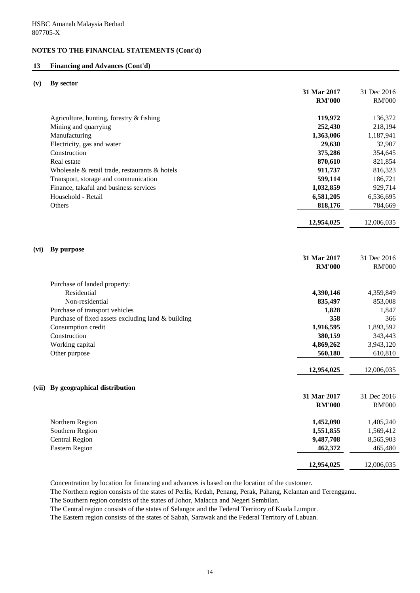## **13 Financing and Advances (Cont'd)**

## **(v) By sector**

|      |                                                    | 31 Mar 2017<br><b>RM'000</b> | 31 Dec 2016<br><b>RM'000</b> |
|------|----------------------------------------------------|------------------------------|------------------------------|
|      |                                                    |                              |                              |
|      | Agriculture, hunting, forestry & fishing           | 119,972                      | 136,372                      |
|      | Mining and quarrying                               | 252,430                      | 218,194                      |
|      | Manufacturing                                      | 1,363,006                    | 1,187,941                    |
|      | Electricity, gas and water                         | 29,630                       | 32,907                       |
|      | Construction                                       | 375,286                      | 354,645                      |
|      | Real estate                                        | 870,610                      | 821,854                      |
|      | Wholesale & retail trade, restaurants & hotels     | 911,737                      | 816,323                      |
|      | Transport, storage and communication               | 599,114                      | 186,721                      |
|      | Finance, takaful and business services             | 1,032,859                    | 929,714                      |
|      | Household - Retail                                 | 6,581,205                    | 6,536,695                    |
|      | Others                                             | 818,176                      | 784,669                      |
|      |                                                    | 12,954,025                   | 12,006,035                   |
| (vi) | By purpose                                         |                              |                              |
|      |                                                    | 31 Mar 2017                  | 31 Dec 2016                  |
|      |                                                    | <b>RM'000</b>                | <b>RM'000</b>                |
|      | Purchase of landed property:                       |                              |                              |
|      | Residential                                        | 4,390,146                    | 4,359,849                    |
|      | Non-residential                                    | 835,497                      | 853,008                      |
|      | Purchase of transport vehicles                     | 1,828                        | 1,847                        |
|      | Purchase of fixed assets excluding land & building | 358                          | 366                          |
|      | Consumption credit                                 | 1,916,595                    | 1,893,592                    |
|      | Construction                                       | 380,159                      | 343,443                      |
|      | Working capital                                    | 4,869,262                    | 3,943,120                    |
|      | Other purpose                                      | 560,180                      | 610,810                      |
|      |                                                    | 12,954,025                   | 12,006,035                   |
|      | (vii) By geographical distribution                 |                              |                              |
|      |                                                    | 31 Mar 2017                  | 31 Dec 2016                  |
|      |                                                    | $\mathbf{RM}$ '000           | <b>RM'000</b>                |
|      | Northern Region                                    | 1,452,090                    | 1,405,240                    |
|      | Southern Region                                    | 1,551,855                    | 1,569,412                    |
|      | <b>Central Region</b>                              | 9,487,708                    | 8,565,903                    |
|      | <b>Eastern Region</b>                              | 462,372                      | 465,480                      |
|      |                                                    | 12,954,025                   | 12,006,035                   |
|      |                                                    |                              |                              |

Concentration by location for financing and advances is based on the location of the customer.

The Northern region consists of the states of Perlis, Kedah, Penang, Perak, Pahang, Kelantan and Terengganu.

The Southern region consists of the states of Johor, Malacca and Negeri Sembilan.

The Central region consists of the states of Selangor and the Federal Territory of Kuala Lumpur.

The Eastern region consists of the states of Sabah, Sarawak and the Federal Territory of Labuan.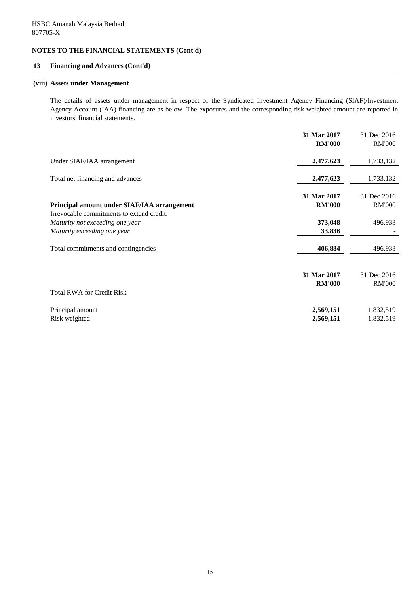## **13 Financing and Advances (Cont'd)**

### **(viii) Assets under Management**

The details of assets under management in respect of the Syndicated Investment Agency Financing (SIAF)/Investment Agency Account (IAA) financing are as below. The exposures and the corresponding risk weighted amount are reported in investors' financial statements.

|                                                                                          | 31 Mar 2017   | 31 Dec 2016   |
|------------------------------------------------------------------------------------------|---------------|---------------|
|                                                                                          | <b>RM'000</b> | <b>RM'000</b> |
| Under SIAF/IAA arrangement                                                               | 2,477,623     | 1,733,132     |
| Total net financing and advances                                                         | 2,477,623     | 1,733,132     |
|                                                                                          | 31 Mar 2017   | 31 Dec 2016   |
| Principal amount under SIAF/IAA arrangement<br>Irrevocable commitments to extend credit: | <b>RM'000</b> | <b>RM'000</b> |
| Maturity not exceeding one year                                                          | 373,048       | 496,933       |
| Maturity exceeding one year                                                              | 33,836        |               |
| Total commitments and contingencies                                                      | 406,884       | 496,933       |
|                                                                                          | 31 Mar 2017   | 31 Dec 2016   |
| <b>Total RWA for Credit Risk</b>                                                         | <b>RM'000</b> | <b>RM'000</b> |
| Principal amount                                                                         | 2,569,151     | 1,832,519     |
| Risk weighted                                                                            | 2,569,151     | 1,832,519     |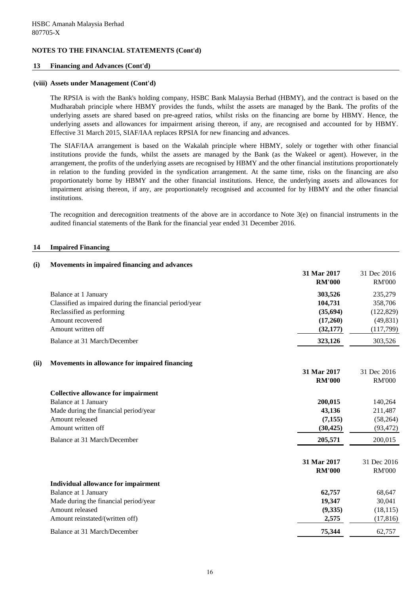## **13 Financing and Advances (Cont'd)**

#### **(viii) Assets under Management (Cont'd)**

The RPSIA is with the Bank's holding company, HSBC Bank Malaysia Berhad (HBMY), and the contract is based on the Mudharabah principle where HBMY provides the funds, whilst the assets are managed by the Bank. The profits of the underlying assets are shared based on pre-agreed ratios, whilst risks on the financing are borne by HBMY. Hence, the underlying assets and allowances for impairment arising thereon, if any, are recognised and accounted for by HBMY. Effective 31 March 2015, SIAF/IAA replaces RPSIA for new financing and advances.

The SIAF/IAA arrangement is based on the Wakalah principle where HBMY, solely or together with other financial institutions provide the funds, whilst the assets are managed by the Bank (as the Wakeel or agent). However, in the arrangement, the profits of the underlying assets are recognised by HBMY and the other financial institutions proportionately in relation to the funding provided in the syndication arrangement. At the same time, risks on the financing are also proportionately borne by HBMY and the other financial institutions. Hence, the underlying assets and allowances for impairment arising thereon, if any, are proportionately recognised and accounted for by HBMY and the other financial institutions.

The recognition and derecognition treatments of the above are in accordance to Note  $3(e)$  on financial instruments in the audited financial statements of the Bank for the financial year ended 31 December 2016.

#### **14 Impaired Financing**

### **(i) Movements in impaired financing and advances**

|                                                         | 31 Mar 2017<br><b>RM'000</b> | 31 Dec 2016<br><b>RM'000</b> |
|---------------------------------------------------------|------------------------------|------------------------------|
| Balance at 1 January                                    | 303,526                      | 235,279                      |
| Classified as impaired during the financial period/year | 104,731                      | 358,706                      |
| Reclassified as performing                              | (35,694)                     | (122, 829)                   |
| Amount recovered                                        | (17,260)                     | (49, 831)                    |
| Amount written off                                      | (32, 177)                    | (117,799)                    |
| Balance at 31 March/December                            | 323,126                      | 303,526                      |
| Movements in allowance for impaired financing<br>(ii)   |                              |                              |
|                                                         | 31 Mar 2017                  | 31 Dec 2016                  |
|                                                         | <b>RM'000</b>                | <b>RM'000</b>                |
| <b>Collective allowance for impairment</b>              |                              |                              |
| Balance at 1 January                                    | 200,015                      | 140,264                      |
| Made during the financial period/year                   | 43,136                       | 211,487                      |
| Amount released                                         | (7, 155)                     | (58,264)                     |
| Amount written off                                      | (30, 425)                    | (93, 472)                    |
| Balance at 31 March/December                            | 205,571                      | 200,015                      |
|                                                         | 31 Mar 2017                  | 31 Dec 2016                  |
|                                                         | <b>RM'000</b>                | <b>RM'000</b>                |
| Individual allowance for impairment                     |                              |                              |
| Balance at 1 January                                    | 62,757                       | 68,647                       |
| Made during the financial period/year                   | 19,347                       | 30,041                       |
| Amount released                                         | (9, 335)                     | (18, 115)                    |
| Amount reinstated/(written off)                         | 2,575                        | (17, 816)                    |
| Balance at 31 March/December                            | 75,344                       | 62,757                       |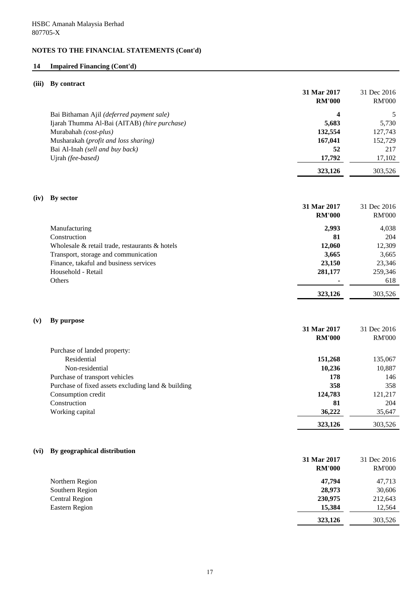# **14 Impaired Financing (Cont'd)**

## **(iii) By contract**

|      |                                                    | 31 Mar 2017<br><b>RM'000</b> | 31 Dec 2016<br><b>RM'000</b> |
|------|----------------------------------------------------|------------------------------|------------------------------|
|      | Bai Bithaman Ajil (deferred payment sale)          | 4                            | 5                            |
|      | Ijarah Thumma Al-Bai (AITAB) (hire purchase)       | 5,683                        | 5,730                        |
|      | Murabahah (cost-plus)                              | 132,554                      | 127,743                      |
|      | Musharakah (profit and loss sharing)               | 167,041                      | 152,729                      |
|      | Bai Al-Inah (sell and buy back)                    | 52                           | 217                          |
|      | Ujrah (fee-based)                                  | 17,792                       | 17,102                       |
|      |                                                    |                              |                              |
|      |                                                    | 323,126                      | 303,526                      |
| (iv) | By sector                                          |                              |                              |
|      |                                                    | 31 Mar 2017                  | 31 Dec 2016                  |
|      |                                                    | <b>RM'000</b>                | <b>RM'000</b>                |
|      | Manufacturing                                      | 2,993                        | 4,038                        |
|      | Construction                                       | 81                           | 204                          |
|      | Wholesale & retail trade, restaurants & hotels     | 12,060                       | 12,309                       |
|      | Transport, storage and communication               | 3,665                        | 3,665                        |
|      | Finance, takaful and business services             | 23,150                       | 23,346                       |
|      | Household - Retail                                 | 281,177                      | 259,346                      |
|      | Others                                             |                              | 618                          |
|      |                                                    |                              |                              |
|      |                                                    | 323,126                      | 303,526                      |
| (v)  | By purpose                                         |                              |                              |
|      |                                                    | 31 Mar 2017                  | 31 Dec 2016                  |
|      |                                                    | <b>RM'000</b>                | <b>RM'000</b>                |
|      | Purchase of landed property:                       |                              |                              |
|      | Residential                                        | 151,268                      | 135,067                      |
|      | Non-residential                                    | 10,236                       | 10,887                       |
|      | Purchase of transport vehicles                     | 178                          | 146                          |
|      | Purchase of fixed assets excluding land & building | 358                          | 358                          |
|      | Consumption credit                                 | 124,783                      | 121,217                      |
|      | Construction                                       | 81                           | 204                          |
|      | Working capital                                    | 36,222                       | 35,647                       |
|      |                                                    | 323,126                      | 303,526                      |
|      |                                                    |                              |                              |
| (vi) | By geographical distribution                       |                              |                              |
|      |                                                    | 31 Mar 2017                  | 31 Dec 2016                  |
|      |                                                    | <b>RM'000</b>                | <b>RM'000</b>                |
|      |                                                    |                              |                              |
|      | Northern Region                                    | 47,794                       | 47,713                       |
|      | Southern Region                                    | 28,973                       | 30,606                       |
|      | <b>Central Region</b>                              | 230,975                      | 212,643                      |
|      | <b>Eastern Region</b>                              | 15,384                       | 12,564                       |
|      |                                                    | 323,126                      | 303,526                      |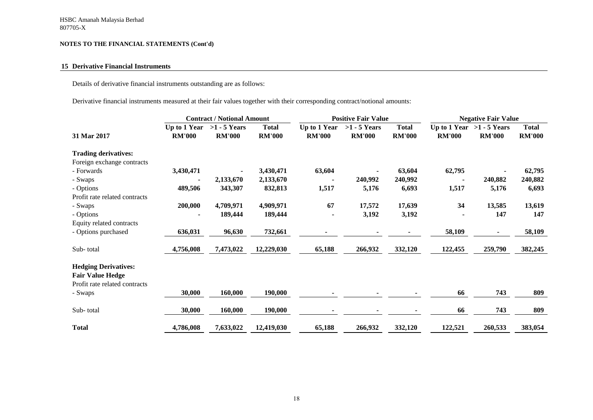#### **15 Derivative Financial Instruments**

Details of derivative financial instruments outstanding are as follows:

Derivative financial instruments measured at their fair values together with their corresponding contract/notional amounts:

|                               |                               | <b>Contract / Notional Amount</b> |                               | <b>Positive Fair Value</b>    |                                 |                               | <b>Negative Fair Value</b> |                                              |                               |
|-------------------------------|-------------------------------|-----------------------------------|-------------------------------|-------------------------------|---------------------------------|-------------------------------|----------------------------|----------------------------------------------|-------------------------------|
| 31 Mar 2017                   | Up to 1 Year<br><b>RM'000</b> | $>1 - 5$ Years<br><b>RM'000</b>   | <b>Total</b><br><b>RM'000</b> | Up to 1 Year<br><b>RM'000</b> | $>1 - 5$ Years<br><b>RM'000</b> | <b>Total</b><br><b>RM'000</b> | <b>RM'000</b>              | Up to 1 Year $>1 - 5$ Years<br><b>RM'000</b> | <b>Total</b><br><b>RM'000</b> |
| <b>Trading derivatives:</b>   |                               |                                   |                               |                               |                                 |                               |                            |                                              |                               |
| Foreign exchange contracts    |                               |                                   |                               |                               |                                 |                               |                            |                                              |                               |
| - Forwards                    | 3,430,471                     | ٠                                 | 3,430,471                     | 63,604                        | $\blacksquare$                  | 63,604                        | 62,795                     |                                              | 62,795                        |
| - Swaps                       |                               | 2,133,670                         | 2,133,670                     |                               | 240,992                         | 240,992                       |                            | 240,882                                      | 240,882                       |
| - Options                     | 489,506                       | 343,307                           | 832,813                       | 1,517                         | 5,176                           | 6,693                         | 1,517                      | 5,176                                        | 6,693                         |
| Profit rate related contracts |                               |                                   |                               |                               |                                 |                               |                            |                                              |                               |
| - Swaps                       | 200,000                       | 4,709,971                         | 4,909,971                     | 67                            | 17,572                          | 17,639                        | 34                         | 13,585                                       | 13,619                        |
| - Options                     |                               | 189,444                           | 189,444                       |                               | 3,192                           | 3,192                         |                            | 147                                          | 147                           |
| Equity related contracts      |                               |                                   |                               |                               |                                 |                               |                            |                                              |                               |
| - Options purchased           | 636,031                       | 96,630                            | 732,661                       |                               |                                 |                               | 58,109                     | $\blacksquare$                               | 58,109                        |
| Sub-total                     | 4,756,008                     | 7,473,022                         | 12,229,030                    | 65,188                        | 266,932                         | 332,120                       | 122,455                    | 259,790                                      | 382,245                       |
| <b>Hedging Derivatives:</b>   |                               |                                   |                               |                               |                                 |                               |                            |                                              |                               |
| <b>Fair Value Hedge</b>       |                               |                                   |                               |                               |                                 |                               |                            |                                              |                               |
| Profit rate related contracts |                               |                                   |                               |                               |                                 |                               |                            |                                              |                               |
| - Swaps                       | 30,000                        | 160,000                           | 190,000                       |                               |                                 |                               | 66                         | 743                                          | 809                           |
|                               |                               |                                   |                               |                               |                                 |                               |                            |                                              |                               |
| Sub-total                     | 30,000                        | 160,000                           | 190,000                       |                               | $\blacksquare$                  |                               | 66                         | 743                                          | 809                           |
| <b>Total</b>                  | 4,786,008                     | 7,633,022                         | 12,419,030                    | 65,188                        | 266,932                         | 332,120                       | 122,521                    | 260,533                                      | 383,054                       |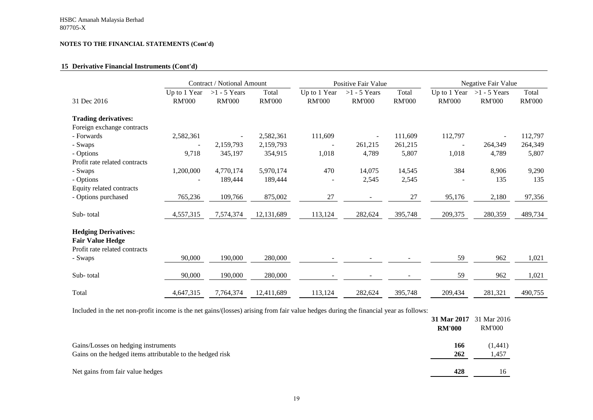## **15 Derivative Financial Instruments (Cont'd)**

|                                                                                         |                               | Contract / Notional Amount      |                        |                               | Positive Fair Value             |                        |                               | Negative Fair Value             |                        |
|-----------------------------------------------------------------------------------------|-------------------------------|---------------------------------|------------------------|-------------------------------|---------------------------------|------------------------|-------------------------------|---------------------------------|------------------------|
| 31 Dec 2016                                                                             | Up to 1 Year<br><b>RM'000</b> | $>1 - 5$ Years<br><b>RM'000</b> | Total<br><b>RM'000</b> | Up to 1 Year<br><b>RM'000</b> | $>1 - 5$ Years<br><b>RM'000</b> | Total<br><b>RM'000</b> | Up to 1 Year<br><b>RM'000</b> | $>1 - 5$ Years<br><b>RM'000</b> | Total<br><b>RM'000</b> |
| <b>Trading derivatives:</b>                                                             |                               |                                 |                        |                               |                                 |                        |                               |                                 |                        |
| Foreign exchange contracts                                                              |                               |                                 |                        |                               |                                 |                        |                               |                                 |                        |
| - Forwards                                                                              | 2,582,361                     |                                 | 2,582,361              | 111,609                       | $\overline{\phantom{a}}$        | 111,609                | 112,797                       |                                 | 112,797                |
| - Swaps                                                                                 |                               | 2,159,793                       | 2,159,793              |                               | 261,215                         | 261,215                |                               | 264,349                         | 264,349                |
| - Options                                                                               | 9,718                         | 345,197                         | 354,915                | 1,018                         | 4,789                           | 5,807                  | 1,018                         | 4,789                           | 5,807                  |
| Profit rate related contracts                                                           |                               |                                 |                        |                               |                                 |                        |                               |                                 |                        |
| - Swaps                                                                                 | 1,200,000                     | 4,770,174                       | 5,970,174              | 470                           | 14,075                          | 14,545                 | 384                           | 8,906                           | 9,290                  |
| - Options                                                                               |                               | 189,444                         | 189,444                |                               | 2,545                           | 2,545                  |                               | 135                             | 135                    |
| Equity related contracts                                                                |                               |                                 |                        |                               |                                 |                        |                               |                                 |                        |
| - Options purchased                                                                     | 765,236                       | 109,766                         | 875,002                | 27                            | $\overline{a}$                  | 27                     | 95,176                        | 2,180                           | 97,356                 |
| Sub-total                                                                               | 4,557,315                     | 7,574,374                       | 12,131,689             | 113,124                       | 282,624                         | 395,748                | 209,375                       | 280,359                         | 489,734                |
| <b>Hedging Derivatives:</b><br><b>Fair Value Hedge</b><br>Profit rate related contracts |                               |                                 |                        |                               |                                 |                        |                               |                                 |                        |
| - Swaps                                                                                 | 90,000                        | 190,000                         | 280,000                |                               |                                 |                        | 59                            | 962                             | 1,021                  |
| Sub-total                                                                               | 90,000                        | 190,000                         | 280,000                |                               |                                 |                        | 59                            | 962                             | 1,021                  |
| Total                                                                                   | 4,647,315                     | 7,764,374                       | 12,411,689             | 113,124                       | 282,624                         | 395,748                | 209,434                       | 281,321                         | 490,755                |

Included in the net non-profit income is the net gains/(losses) arising from fair value hedges during the financial year as follows:

|                                                                                                  | <b>RM'000</b> | 31 Mar 2017 31 Mar 2016<br>RM'000 |
|--------------------------------------------------------------------------------------------------|---------------|-----------------------------------|
| Gains/Losses on hedging instruments<br>Gains on the hedged items attributable to the hedged risk | 166<br>262    | (1,441)<br>1,457                  |
| Net gains from fair value hedges                                                                 | 428           |                                   |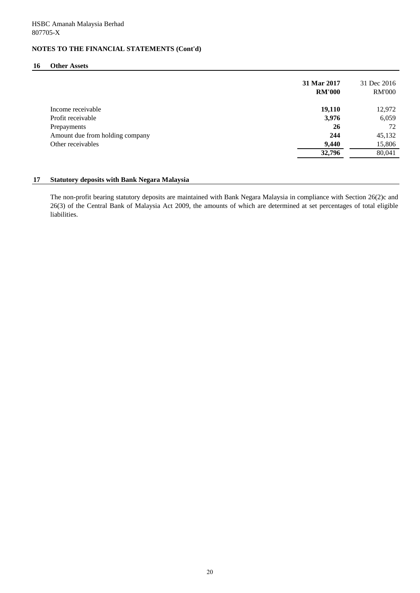### **16 Other Assets**

|                                 | 31 Mar 2017<br><b>RM'000</b> | 31 Dec 2016<br><b>RM'000</b> |
|---------------------------------|------------------------------|------------------------------|
| Income receivable               | 19,110                       | 12,972                       |
| Profit receivable               | 3,976                        | 6,059                        |
| Prepayments                     | 26                           | 72                           |
| Amount due from holding company | 244                          | 45,132                       |
| Other receivables               | 9,440                        | 15,806                       |
|                                 | 32,796                       | 80,041                       |

## **17 Statutory deposits with Bank Negara Malaysia**

The non-profit bearing statutory deposits are maintained with Bank Negara Malaysia in compliance with Section 26(2)c and 26(3) of the Central Bank of Malaysia Act 2009, the amounts of which are determined at set percentages of total eligible liabilities.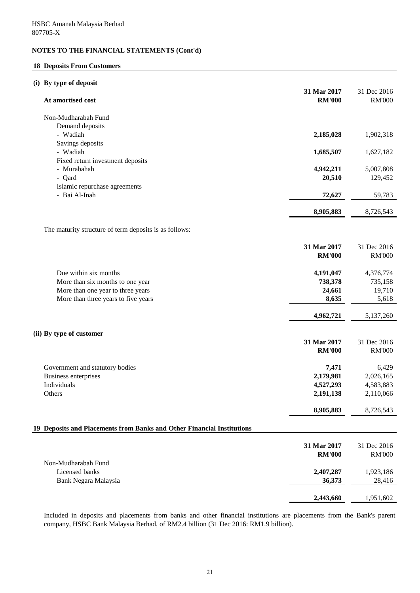## **18 Deposits From Customers**

## **(i) By type of deposit**

| At amortised cost                                                      | 31 Mar 2017<br><b>RM'000</b> | 31 Dec 2016<br><b>RM'000</b> |
|------------------------------------------------------------------------|------------------------------|------------------------------|
| Non-Mudharabah Fund                                                    |                              |                              |
| Demand deposits                                                        |                              |                              |
| - Wadiah                                                               | 2,185,028                    | 1,902,318                    |
| Savings deposits                                                       |                              |                              |
| - Wadiah                                                               | 1,685,507                    | 1,627,182                    |
| Fixed return investment deposits                                       |                              |                              |
| - Murabahah                                                            | 4,942,211                    | 5,007,808                    |
| - Qard                                                                 | 20,510                       | 129,452                      |
| Islamic repurchase agreements                                          |                              |                              |
| - Bai Al-Inah                                                          | 72,627                       | 59,783                       |
|                                                                        | 8,905,883                    | 8,726,543                    |
|                                                                        |                              |                              |
| The maturity structure of term deposits is as follows:                 |                              |                              |
|                                                                        | 31 Mar 2017                  | 31 Dec 2016                  |
|                                                                        | <b>RM'000</b>                | <b>RM'000</b>                |
|                                                                        |                              |                              |
| Due within six months                                                  | 4,191,047                    | 4,376,774                    |
| More than six months to one year                                       | 738,378                      | 735,158                      |
| More than one year to three years                                      | 24,661                       | 19,710                       |
| More than three years to five years                                    | 8,635                        | 5,618                        |
|                                                                        |                              |                              |
|                                                                        | 4,962,721                    | 5,137,260                    |
|                                                                        |                              |                              |
| (ii) By type of customer                                               |                              |                              |
|                                                                        | 31 Mar 2017                  | 31 Dec 2016                  |
|                                                                        | <b>RM'000</b>                | <b>RM'000</b>                |
| Government and statutory bodies                                        | 7,471                        | 6,429                        |
| Business enterprises                                                   | 2,179,981                    | 2,026,165                    |
| Individuals                                                            | 4,527,293                    | 4,583,883                    |
| Others                                                                 | 2,191,138                    | 2,110,066                    |
|                                                                        |                              |                              |
|                                                                        | 8,905,883                    | 8,726,543                    |
| 19 Deposits and Placements from Banks and Other Financial Institutions |                              |                              |
|                                                                        |                              |                              |
|                                                                        | 31 Mar 2017                  | 31 Dec 2016                  |
|                                                                        | <b>RM'000</b>                | <b>RM'000</b>                |
| Non-Mudharabah Fund                                                    |                              |                              |
| Licensed banks                                                         | 2,407,287                    | 1,923,186                    |
| Bank Negara Malaysia                                                   | 36,373                       | 28,416                       |
|                                                                        |                              |                              |
|                                                                        | 2,443,660                    | 1,951,602                    |

Included in deposits and placements from banks and other financial institutions are placements from the Bank's parent company, HSBC Bank Malaysia Berhad, of RM2.4 billion (31 Dec 2016: RM1.9 billion).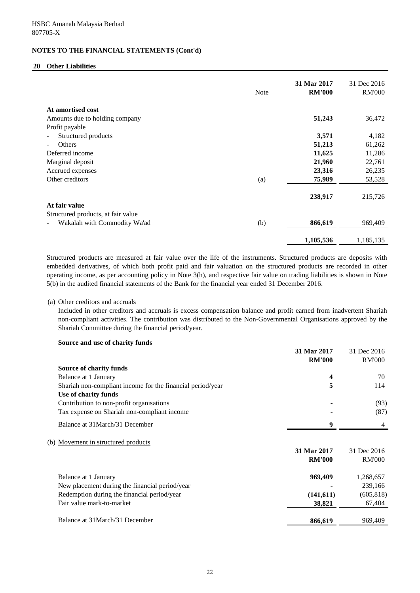## **20 Other Liabilities**

|                                    | <b>Note</b> | 31 Mar 2017<br><b>RM'000</b> | 31 Dec 2016<br><b>RM'000</b> |
|------------------------------------|-------------|------------------------------|------------------------------|
| At amortised cost                  |             |                              |                              |
| Amounts due to holding company     |             | 51,243                       | 36,472                       |
| Profit payable                     |             |                              |                              |
| Structured products                |             | 3,571                        | 4,182                        |
| Others                             |             | 51,213                       | 61,262                       |
| Deferred income                    |             | 11,625                       | 11,286                       |
| Marginal deposit                   |             | 21,960                       | 22,761                       |
| Accrued expenses                   |             | 23,316                       | 26,235                       |
| Other creditors                    | (a)         | 75,989                       | 53,528                       |
|                                    |             | 238,917                      | 215,726                      |
| At fair value                      |             |                              |                              |
| Structured products, at fair value |             |                              |                              |
| Wakalah with Commodity Wa'ad       | (b)         | 866,619                      | 969,409                      |
|                                    |             |                              |                              |
|                                    |             | 1,105,536                    | 1,185,135                    |

Structured products are measured at fair value over the life of the instruments. Structured products are deposits with embedded derivatives, of which both profit paid and fair valuation on the structured products are recorded in other operating income, as per accounting policy in Note 3(h), and respective fair value on trading liabilities is shown in Note 5(b) in the audited financial statements of the Bank for the financial year ended 31 December 2016.

#### (a) Other creditors and accruals

Included in other creditors and accruals is excess compensation balance and profit earned from inadvertent Shariah non-compliant activities. The contribution was distributed to the Non-Governmental Organisations approved by the Shariah Committee during the financial period/year.

### **Source and use of charity funds**

|                                                            | 31 Mar 2017   | 31 Dec 2016   |
|------------------------------------------------------------|---------------|---------------|
|                                                            | <b>RM'000</b> | <b>RM'000</b> |
| Source of charity funds                                    |               |               |
| Balance at 1 January                                       | 4             | 70            |
| Shariah non-compliant income for the financial period/year | 5             | 114           |
| Use of charity funds                                       |               |               |
| Contribution to non-profit organisations                   |               | (93)          |
| Tax expense on Shariah non-compliant income                |               | (87)          |
| Balance at 31 March/31 December                            | 9             | 4             |
| (b) Movement in structured products                        |               |               |
|                                                            | 31 Mar 2017   | 31 Dec 2016   |
|                                                            | <b>RM'000</b> | <b>RM'000</b> |
| Balance at 1 January                                       | 969,409       | 1,268,657     |
| New placement during the financial period/year             |               | 239,166       |
| Redemption during the financial period/year                | (141,611)     | (605, 818)    |
| Fair value mark-to-market                                  | 38,821        | 67,404        |
| Balance at 31 March/31 December                            | 866,619       | 969,409       |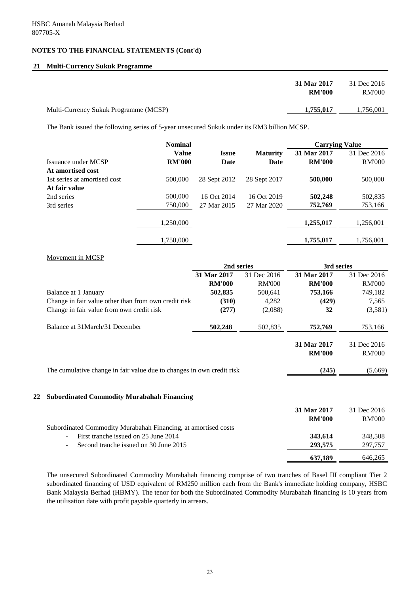## **21 Multi-Currency Sukuk Programme**

| 31 Mar 2017                                        | 31 Dec 2016   |
|----------------------------------------------------|---------------|
| <b>RM'000</b>                                      | <b>RM'000</b> |
| 1,755,017<br>Multi-Currency Sukuk Programme (MCSP) | 1,756,001     |

The Bank issued the following series of 5-year unsecured Sukuk under its RM3 billion MCSP.

|                              | <b>Nominal</b> |              |                 | <b>Carrying Value</b> |               |
|------------------------------|----------------|--------------|-----------------|-----------------------|---------------|
|                              | <b>Value</b>   | <b>Issue</b> | <b>Maturity</b> | 31 Mar 2017           | 31 Dec 2016   |
| Issuance under MCSP          | <b>RM'000</b>  | Date         | Date            | <b>RM'000</b>         | <b>RM'000</b> |
| At amortised cost            |                |              |                 |                       |               |
| 1st series at amortised cost | 500,000        | 28 Sept 2012 | 28 Sept 2017    | 500,000               | 500,000       |
| At fair value                |                |              |                 |                       |               |
| 2nd series                   | 500,000        | 16 Oct 2014  | 16 Oct 2019     | 502,248               | 502,835       |
| 3rd series                   | 750,000        | 27 Mar 2015  | 27 Mar 2020     | 752,769               | 753,166       |
|                              | 1,250,000      |              |                 | 1,255,017             | 1,256,001     |
|                              | 1,750,000      |              |                 | 1,755,017             | 1,756,001     |

## Movement in MCSP

|                                                                       | 2nd series    |               | 3rd series                   |                              |
|-----------------------------------------------------------------------|---------------|---------------|------------------------------|------------------------------|
|                                                                       | 31 Mar 2017   | 31 Dec 2016   | 31 Mar 2017                  | 31 Dec 2016                  |
|                                                                       | <b>RM'000</b> | <b>RM'000</b> | <b>RM'000</b>                | <b>RM'000</b>                |
| Balance at 1 January                                                  | 502,835       | 500,641       | 753,166                      | 749,182                      |
| Change in fair value other than from own credit risk                  | (310)         | 4,282         | (429)                        | 7,565                        |
| Change in fair value from own credit risk                             | (277)         | (2,088)       | 32                           | (3,581)                      |
| Balance at 31 March/31 December                                       | 502,248       | 502,835       | 752,769                      | 753,166                      |
|                                                                       |               |               | 31 Mar 2017<br><b>RM'000</b> | 31 Dec 2016<br><b>RM'000</b> |
| The cumulative change in fair value due to changes in own credit risk |               |               | (245)                        | (5,669)                      |
|                                                                       |               |               |                              |                              |

## **22 Subordinated Commodity Murabahah Financing**

|                                                                  | 31 Mar 2017<br><b>RM'000</b> | 31 Dec 2016<br><b>RM'000</b> |
|------------------------------------------------------------------|------------------------------|------------------------------|
| Subordinated Commodity Murabahah Financing, at amortised costs   |                              |                              |
| First tranche issued on 25 June 2014<br>$\overline{\phantom{a}}$ | 343,614                      | 348,508                      |
| Second tranche issued on 30 June 2015<br>٠                       | 293,575                      | 297,757                      |
|                                                                  | 637.189                      | 646,265                      |

The unsecured Subordinated Commodity Murabahah financing comprise of two tranches of Basel III compliant Tier 2 subordinated financing of USD equivalent of RM250 million each from the Bank's immediate holding company, HSBC Bank Malaysia Berhad (HBMY). The tenor for both the Subordinated Commodity Murabahah financing is 10 years from the utilisation date with profit payable quarterly in arrears.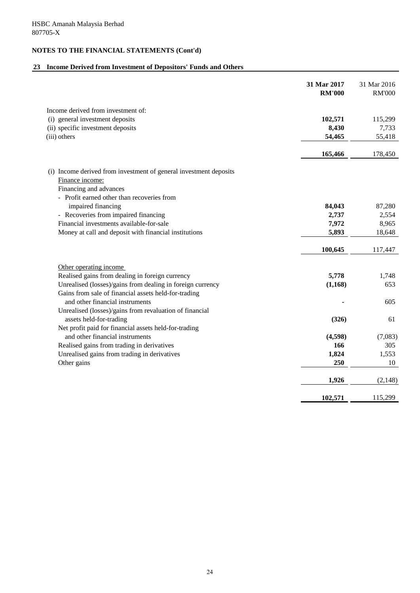# **23 Income Derived from Investment of Depositors' Funds and Others**

|                                                                   | 31 Mar 2017<br><b>RM'000</b> | 31 Mar 2016<br><b>RM'000</b> |
|-------------------------------------------------------------------|------------------------------|------------------------------|
| Income derived from investment of:                                |                              |                              |
| (i) general investment deposits                                   | 102,571                      | 115,299                      |
| (ii) specific investment deposits                                 | 8,430                        | 7,733                        |
| (iii) others                                                      | 54,465                       | 55,418                       |
|                                                                   | 165,466                      | 178,450                      |
| (i) Income derived from investment of general investment deposits |                              |                              |
| Finance income:                                                   |                              |                              |
| Financing and advances                                            |                              |                              |
| - Profit earned other than recoveries from                        |                              |                              |
| impaired financing                                                | 84,043                       | 87,280                       |
| - Recoveries from impaired financing                              | 2,737                        | 2,554                        |
| Financial investments available-for-sale                          | 7,972                        | 8,965                        |
| Money at call and deposit with financial institutions             | 5,893                        | 18,648                       |
|                                                                   | 100,645                      | 117,447                      |
| Other operating income                                            |                              |                              |
| Realised gains from dealing in foreign currency                   | 5,778                        | 1,748                        |
| Unrealised (losses)/gains from dealing in foreign currency        | (1, 168)                     | 653                          |
| Gains from sale of financial assets held-for-trading              |                              |                              |
| and other financial instruments                                   |                              | 605                          |
| Unrealised (losses)/gains from revaluation of financial           |                              |                              |
| assets held-for-trading                                           | (326)                        | 61                           |
| Net profit paid for financial assets held-for-trading             |                              |                              |
| and other financial instruments                                   | (4,598)                      | (7,083)                      |
| Realised gains from trading in derivatives                        | 166                          | 305                          |
| Unrealised gains from trading in derivatives                      | 1,824                        | 1,553                        |
| Other gains                                                       | 250                          | 10                           |
|                                                                   | 1,926                        | (2, 148)                     |
|                                                                   | 102,571                      | 115,299                      |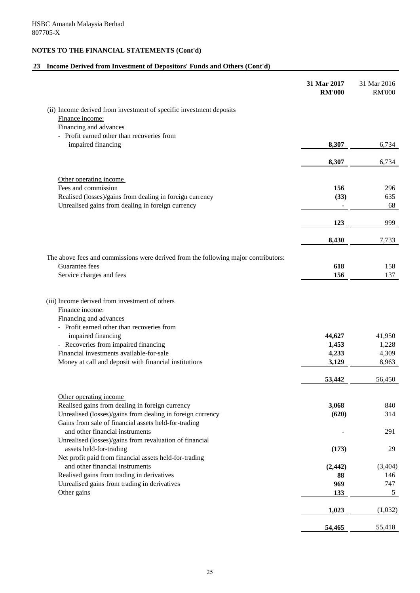# **23 Income Derived from Investment of Depositors' Funds and Others (Cont'd)**

|                                                                                                                                           | 31 Mar 2017<br><b>RM'000</b> | 31 Mar 2016<br><b>RM'000</b> |
|-------------------------------------------------------------------------------------------------------------------------------------------|------------------------------|------------------------------|
| (ii) Income derived from investment of specific investment deposits                                                                       |                              |                              |
| Finance income:                                                                                                                           |                              |                              |
| Financing and advances                                                                                                                    |                              |                              |
| - Profit earned other than recoveries from                                                                                                |                              |                              |
| impaired financing                                                                                                                        | 8,307                        | 6,734                        |
|                                                                                                                                           | 8,307                        | 6,734                        |
| Other operating income                                                                                                                    |                              |                              |
| Fees and commission                                                                                                                       | 156                          | 296                          |
| Realised (losses)/gains from dealing in foreign currency                                                                                  | (33)                         | 635                          |
| Unrealised gains from dealing in foreign currency                                                                                         |                              | 68                           |
|                                                                                                                                           | 123                          | 999                          |
|                                                                                                                                           | 8,430                        | 7,733                        |
| The above fees and commissions were derived from the following major contributors:                                                        |                              |                              |
| Guarantee fees                                                                                                                            | 618                          | 158                          |
| Service charges and fees                                                                                                                  | 156                          | 137                          |
| (iii) Income derived from investment of others<br>Finance income:<br>Financing and advances<br>- Profit earned other than recoveries from |                              |                              |
| impaired financing                                                                                                                        | 44,627                       | 41,950                       |
| - Recoveries from impaired financing                                                                                                      | 1,453                        | 1,228                        |
| Financial investments available-for-sale                                                                                                  | 4,233                        | 4,309                        |
| Money at call and deposit with financial institutions                                                                                     | 3,129                        | 8,963                        |
|                                                                                                                                           | 53,442                       | 56,450                       |
| Other operating income                                                                                                                    |                              |                              |
| Realised gains from dealing in foreign currency                                                                                           | 3,068                        | 840                          |
| Unrealised (losses)/gains from dealing in foreign currency                                                                                | (620)                        | 314                          |
| Gains from sale of financial assets held-for-trading<br>and other financial instruments                                                   |                              | 291                          |
| Unrealised (losses)/gains from revaluation of financial                                                                                   |                              |                              |
| assets held-for-trading                                                                                                                   | (173)                        | 29                           |
| Net profit paid from financial assets held-for-trading                                                                                    |                              |                              |
| and other financial instruments                                                                                                           | (2, 442)                     | (3,404)                      |
| Realised gains from trading in derivatives                                                                                                | 88                           | 146                          |
| Unrealised gains from trading in derivatives<br>Other gains                                                                               | 969<br>133                   | 747<br>5                     |
|                                                                                                                                           |                              |                              |
|                                                                                                                                           | 1,023                        | (1,032)                      |
|                                                                                                                                           | 54,465                       | 55,418                       |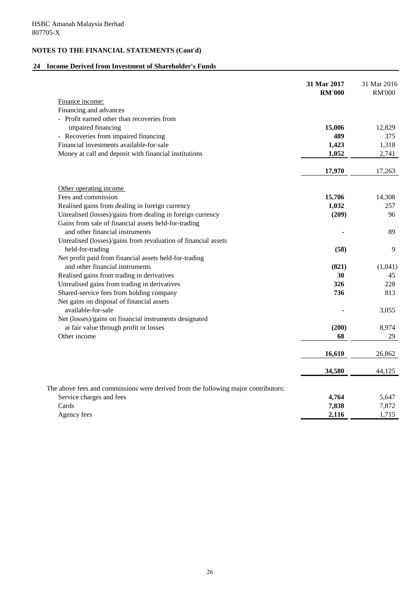# **24 Income Derived from Investment of Shareholder's Funds**

|                                                                                    | 31 Mar 2017<br><b>RM'000</b> | 31 Mar 2016<br><b>RM'000</b> |
|------------------------------------------------------------------------------------|------------------------------|------------------------------|
| Finance income:                                                                    |                              |                              |
| Financing and advances                                                             |                              |                              |
| - Profit earned other than recoveries from                                         |                              |                              |
| impaired financing                                                                 | 15,006                       | 12,829                       |
| - Recoveries from impaired financing                                               | 489                          | 375                          |
| Financial investments available-for-sale                                           | 1,423                        | 1,318                        |
| Money at call and deposit with financial institutions                              | 1,052                        | 2,741                        |
|                                                                                    | 17,970                       | 17,263                       |
| Other operating income                                                             |                              |                              |
| Fees and commission                                                                | 15,706                       | 14,308                       |
| Realised gains from dealing in foreign currency                                    | 1,032                        | 257                          |
| Unrealised (losses)/gains from dealing in foreign currency                         | (209)                        | 96                           |
| Gains from sale of financial assets held-for-trading                               |                              |                              |
| and other financial instruments                                                    |                              | 89                           |
| Unrealised (losses)/gains from revaluation of financial assets                     |                              |                              |
| held-for-trading                                                                   | (58)                         | 9                            |
| Net profit paid from financial assets held-for-trading                             |                              |                              |
| and other financial instruments                                                    | (821)                        | (1,041)                      |
| Realised gains from trading in derivatives                                         | 30                           | 45                           |
| Unrealised gains from trading in derivatives                                       | 326                          | 228                          |
| Shared-service fees from holding company                                           | 736                          | 813                          |
| Net gains on disposal of financial assets                                          |                              |                              |
| available-for-sale                                                                 |                              | 3,055                        |
| Net (losses)/gains on financial instruments designated                             |                              |                              |
| at fair value through profit or losses                                             | (200)                        | 8,974                        |
| Other income                                                                       | 68                           | 29                           |
|                                                                                    | 16,610                       | 26,862                       |
|                                                                                    |                              |                              |
|                                                                                    | 34,580                       | 44,125                       |
| The above fees and commissions were derived from the following major contributors: |                              |                              |
| Service charges and fees                                                           | 4,764                        | 5,647                        |
| Cards                                                                              | 7,838                        | 7,872                        |
| Agency fees                                                                        | 2,116                        | 1,715                        |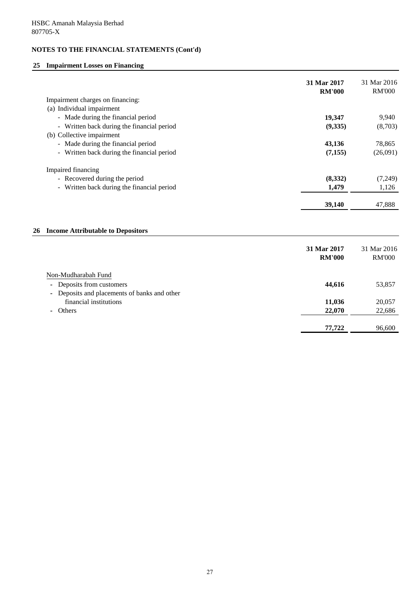# **25 Impairment Losses on Financing**

|    |                                            | 31 Mar 2017<br><b>RM'000</b> | 31 Mar 2016<br><b>RM'000</b> |
|----|--------------------------------------------|------------------------------|------------------------------|
|    | Impairment charges on financing:           |                              |                              |
|    | (a) Individual impairment                  |                              |                              |
|    | - Made during the financial period         | 19,347                       | 9,940                        |
|    | - Written back during the financial period | (9, 335)                     | (8,703)                      |
|    | (b) Collective impairment                  |                              |                              |
|    | - Made during the financial period         | 43,136                       | 78,865                       |
|    | - Written back during the financial period | (7, 155)                     | (26,091)                     |
|    | Impaired financing                         |                              |                              |
|    | - Recovered during the period              | (8, 332)                     | (7,249)                      |
|    | - Written back during the financial period | 1,479                        | 1,126                        |
|    |                                            |                              |                              |
|    |                                            | 39,140                       | 47,888                       |
|    |                                            |                              |                              |
| 26 | <b>Income Attributable to Depositors</b>   |                              |                              |
|    |                                            | 31 Mar 2017                  | 31 Mar 2016                  |
|    |                                            | <b>RM'000</b>                | <b>RM'000</b>                |
|    |                                            |                              |                              |
|    | Non-Mudharabah Fund                        |                              |                              |
|    | Deposits from customers<br>٠               | 44,616                       | 53,857                       |
|    | Deposits and placements of banks and other |                              |                              |
|    | financial institutions                     | 11,036                       | 20,057                       |

- **-** Others **22,070** 22,686
	- *M*  $\frac{77,722}{ }$  96,600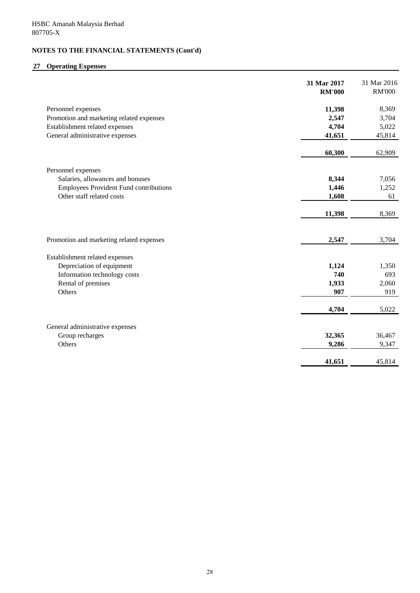# **27 Operating Expenses**

|                                               | 31 Mar 2017<br><b>RM'000</b> | 31 Mar 2016<br><b>RM'000</b> |
|-----------------------------------------------|------------------------------|------------------------------|
| Personnel expenses                            | 11,398                       | 8,369                        |
| Promotion and marketing related expenses      | 2,547                        | 3,704                        |
| Establishment related expenses                | 4,704                        | 5,022                        |
| General administrative expenses               | 41,651                       | 45,814                       |
|                                               | 60,300                       | 62,909                       |
| Personnel expenses                            |                              |                              |
| Salaries, allowances and bonuses              | 8,344                        | 7,056                        |
| <b>Employees Provident Fund contributions</b> | 1,446                        | 1,252                        |
| Other staff related costs                     | 1,608                        | 61                           |
|                                               | 11,398                       | 8,369                        |
|                                               |                              |                              |
| Promotion and marketing related expenses      | 2,547                        | 3,704                        |
| Establishment related expenses                |                              |                              |
| Depreciation of equipment                     | 1,124                        | 1,350                        |
| Information technology costs                  | 740                          | 693                          |
| Rental of premises                            | 1,933                        | 2,060                        |
| Others                                        | 907                          | 919                          |
|                                               | 4,704                        | 5,022                        |
|                                               |                              |                              |
| General administrative expenses               |                              |                              |
| Group recharges                               | 32,365                       | 36,467                       |
| Others                                        | 9,286                        | 9,347                        |
|                                               | 41,651                       | 45,814                       |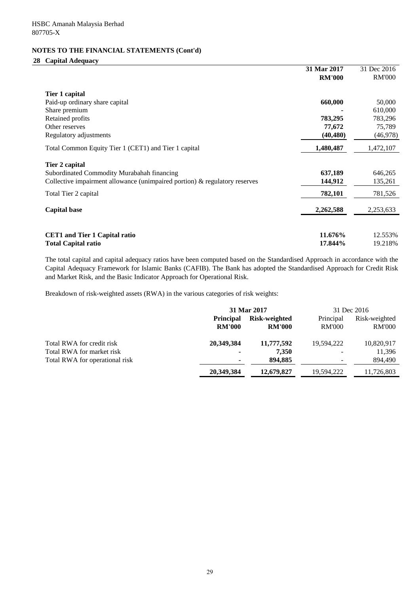# **28 Capital Adequacy**

|                                                                               | 31 Mar 2017   | 31 Dec 2016   |
|-------------------------------------------------------------------------------|---------------|---------------|
|                                                                               | <b>RM'000</b> | <b>RM'000</b> |
| Tier 1 capital                                                                |               |               |
| Paid-up ordinary share capital                                                | 660,000       | 50,000        |
| Share premium                                                                 |               | 610,000       |
| Retained profits                                                              | 783,295       | 783,296       |
| Other reserves                                                                | 77,672        | 75,789        |
| Regulatory adjustments                                                        | (40, 480)     | (46,978)      |
| Total Common Equity Tier 1 (CET1) and Tier 1 capital                          | 1,480,487     | 1,472,107     |
| Tier 2 capital                                                                |               |               |
| Subordinated Commodity Murabahah financing                                    | 637,189       | 646,265       |
| Collective impairment allowance (unimpaired portion) $\&$ regulatory reserves | 144,912       | 135,261       |
| Total Tier 2 capital                                                          | 782,101       | 781,526       |
| <b>Capital base</b>                                                           | 2,262,588     | 2,253,633     |
|                                                                               |               |               |
| <b>CET1</b> and Tier 1 Capital ratio                                          | 11.676%       | 12.553%       |
| <b>Total Capital ratio</b>                                                    | 17.844%       | 19.218%       |

The total capital and capital adequacy ratios have been computed based on the Standardised Approach in accordance with the Capital Adequacy Framework for Islamic Banks (CAFIB). The Bank has adopted the Standardised Approach for Credit Risk and Market Risk, and the Basic Indicator Approach for Operational Risk.

Breakdown of risk-weighted assets (RWA) in the various categories of risk weights:

|                                |                  | 31 Mar 2017   |               | 31 Dec 2016   |
|--------------------------------|------------------|---------------|---------------|---------------|
|                                | <b>Principal</b> | Risk-weighted | Principal     | Risk-weighted |
|                                | <b>RM'000</b>    | <b>RM'000</b> | <b>RM'000</b> | <b>RM'000</b> |
| Total RWA for credit risk      | 20,349,384       | 11,777,592    | 19,594,222    | 10,820,917    |
| Total RWA for market risk      |                  | 7,350         |               | 11,396        |
| Total RWA for operational risk |                  | 894.885       |               | 894,490       |
|                                | 20,349,384       | 12,679,827    | 19,594,222    | 11,726,803    |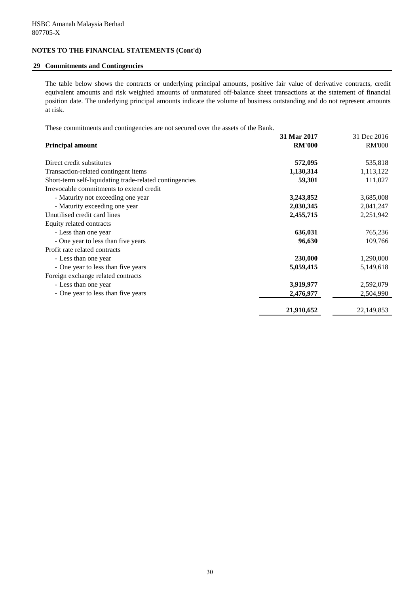## **29 Commitments and Contingencies**

The table below shows the contracts or underlying principal amounts, positive fair value of derivative contracts, credit equivalent amounts and risk weighted amounts of unmatured off-balance sheet transactions at the statement of financial position date. The underlying principal amounts indicate the volume of business outstanding and do not represent amounts at risk.

These commitments and contingencies are not secured over the assets of the Bank.

|                                                         | 31 Mar 2017   | 31 Dec 2016   |
|---------------------------------------------------------|---------------|---------------|
| <b>Principal amount</b>                                 | <b>RM'000</b> | <b>RM'000</b> |
| Direct credit substitutes                               | 572,095       | 535,818       |
| Transaction-related contingent items                    | 1,130,314     | 1,113,122     |
| Short-term self-liquidating trade-related contingencies | 59,301        | 111,027       |
| Irrevocable commitments to extend credit                |               |               |
| - Maturity not exceeding one year                       | 3,243,852     | 3,685,008     |
| - Maturity exceeding one year                           | 2,030,345     | 2,041,247     |
| Unutilised credit card lines                            | 2,455,715     | 2,251,942     |
| Equity related contracts                                |               |               |
| - Less than one year                                    | 636,031       | 765,236       |
| - One year to less than five years                      | 96,630        | 109,766       |
| Profit rate related contracts                           |               |               |
| - Less than one year                                    | 230,000       | 1,290,000     |
| - One year to less than five years                      | 5,059,415     | 5,149,618     |
| Foreign exchange related contracts                      |               |               |
| - Less than one year                                    | 3,919,977     | 2,592,079     |
| - One year to less than five years                      | 2,476,977     | 2,504,990     |
|                                                         | 21,910,652    | 22, 149, 853  |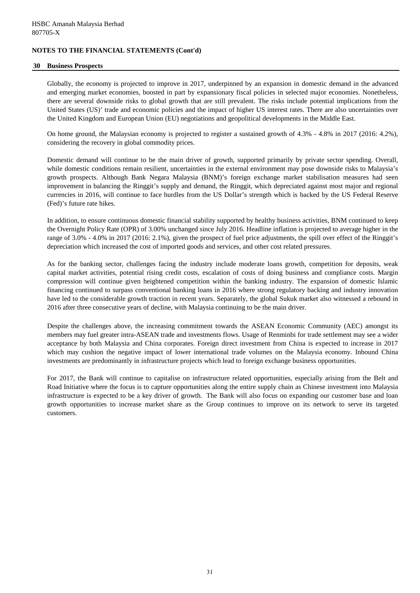### **30 Business Prospects**

Globally, the economy is projected to improve in 2017, underpinned by an expansion in domestic demand in the advanced and emerging market economies, boosted in part by expansionary fiscal policies in selected major economies. Nonetheless, there are several downside risks to global growth that are still prevalent. The risks include potential implications from the United States (US)' trade and economic policies and the impact of higher US interest rates. There are also uncertainties over the United Kingdom and European Union (EU) negotiations and geopolitical developments in the Middle East.

On home ground, the Malaysian economy is projected to register a sustained growth of 4.3% - 4.8% in 2017 (2016: 4.2%), considering the recovery in global commodity prices.

Domestic demand will continue to be the main driver of growth, supported primarily by private sector spending. Overall, while domestic conditions remain resilient, uncertainties in the external environment may pose downside risks to Malaysia's growth prospects. Although Bank Negara Malaysia (BNM)'s foreign exchange market stabilisation measures had seen improvement in balancing the Ringgit's supply and demand, the Ringgit, which depreciated against most major and regional currencies in 2016, will continue to face hurdles from the US Dollar's strength which is backed by the US Federal Reserve (Fed)'s future rate hikes.

In addition, to ensure continuous domestic financial stability supported by healthy business activities, BNM continued to keep the Overnight Policy Rate (OPR) of 3.00% unchanged since July 2016. Headline inflation is projected to average higher in the range of 3.0% - 4.0% in 2017 (2016: 2.1%), given the prospect of fuel price adjustments, the spill over effect of the Ringgit's depreciation which increased the cost of imported goods and services, and other cost related pressures.

As for the banking sector, challenges facing the industry include moderate loans growth, competition for deposits, weak capital market activities, potential rising credit costs, escalation of costs of doing business and compliance costs. Margin compression will continue given heightened competition within the banking industry. The expansion of domestic Islamic financing continued to surpass conventional banking loans in 2016 where strong regulatory backing and industry innovation have led to the considerable growth traction in recent years. Separately, the global Sukuk market also witnessed a rebound in 2016 after three consecutive years of decline, with Malaysia continuing to be the main driver.

Despite the challenges above, the increasing commitment towards the ASEAN Economic Community (AEC) amongst its members may fuel greater intra-ASEAN trade and investments flows. Usage of Renminbi for trade settlement may see a wider acceptance by both Malaysia and China corporates. Foreign direct investment from China is expected to increase in 2017 which may cushion the negative impact of lower international trade volumes on the Malaysia economy. Inbound China investments are predominantly in infrastructure projects which lead to foreign exchange business opportunities.

For 2017, the Bank will continue to capitalise on infrastructure related opportunities, especially arising from the Belt and Road Initiative where the focus is to capture opportunities along the entire supply chain as Chinese investment into Malaysia infrastructure is expected to be a key driver of growth. The Bank will also focus on expanding our customer base and loan growth opportunities to increase market share as the Group continues to improve on its network to serve its targeted customers.